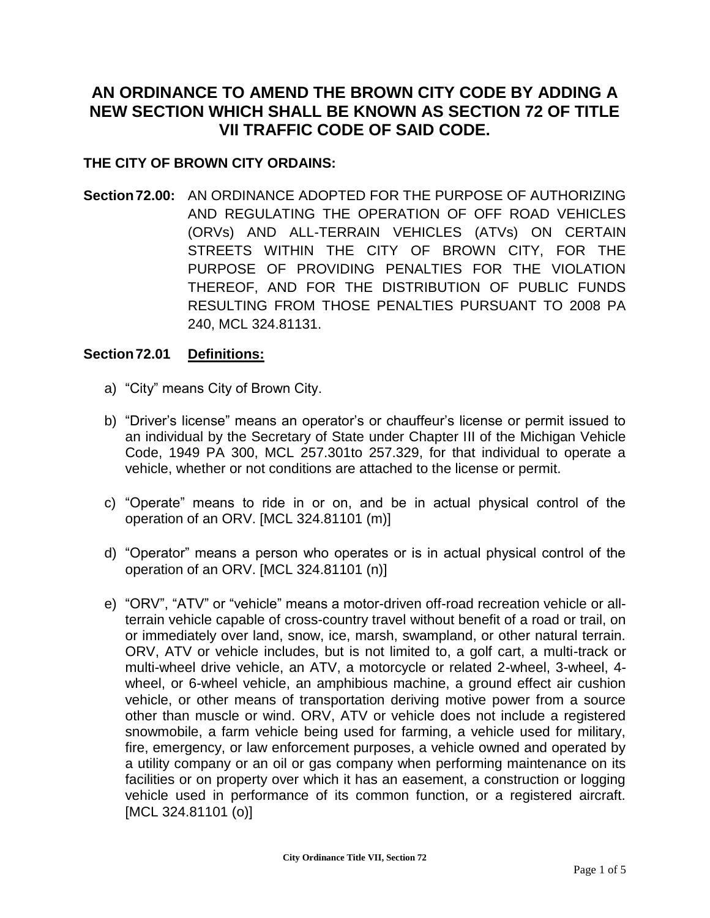# **AN ORDINANCE TO AMEND THE BROWN CITY CODE BY ADDING A NEW SECTION WHICH SHALL BE KNOWN AS SECTION 72 OF TITLE VII TRAFFIC CODE OF SAID CODE.**

## **THE CITY OF BROWN CITY ORDAINS:**

**Section72.00:** AN ORDINANCE ADOPTED FOR THE PURPOSE OF AUTHORIZING AND REGULATING THE OPERATION OF OFF ROAD VEHICLES (ORVs) AND ALL-TERRAIN VEHICLES (ATVs) ON CERTAIN STREETS WITHIN THE CITY OF BROWN CITY, FOR THE PURPOSE OF PROVIDING PENALTIES FOR THE VIOLATION THEREOF, AND FOR THE DISTRIBUTION OF PUBLIC FUNDS RESULTING FROM THOSE PENALTIES PURSUANT TO 2008 PA 240, MCL 324.81131.

## **Section72.01 Definitions:**

- a) "City" means City of Brown City.
- b) "Driver's license" means an operator's or chauffeur's license or permit issued to an individual by the Secretary of State under Chapter III of the Michigan Vehicle Code, 1949 PA 300, MCL 257.301to 257.329, for that individual to operate a vehicle, whether or not conditions are attached to the license or permit.
- c) "Operate" means to ride in or on, and be in actual physical control of the operation of an ORV. [MCL 324.81101 (m)]
- d) "Operator" means a person who operates or is in actual physical control of the operation of an ORV. [MCL 324.81101 (n)]
- e) "ORV", "ATV" or "vehicle" means a motor-driven off-road recreation vehicle or allterrain vehicle capable of cross-country travel without benefit of a road or trail, on or immediately over land, snow, ice, marsh, swampland, or other natural terrain. ORV, ATV or vehicle includes, but is not limited to, a golf cart, a multi-track or multi-wheel drive vehicle, an ATV, a motorcycle or related 2-wheel, 3-wheel, 4 wheel, or 6-wheel vehicle, an amphibious machine, a ground effect air cushion vehicle, or other means of transportation deriving motive power from a source other than muscle or wind. ORV, ATV or vehicle does not include a registered snowmobile, a farm vehicle being used for farming, a vehicle used for military, fire, emergency, or law enforcement purposes, a vehicle owned and operated by a utility company or an oil or gas company when performing maintenance on its facilities or on property over which it has an easement, a construction or logging vehicle used in performance of its common function, or a registered aircraft. [MCL 324.81101 (o)]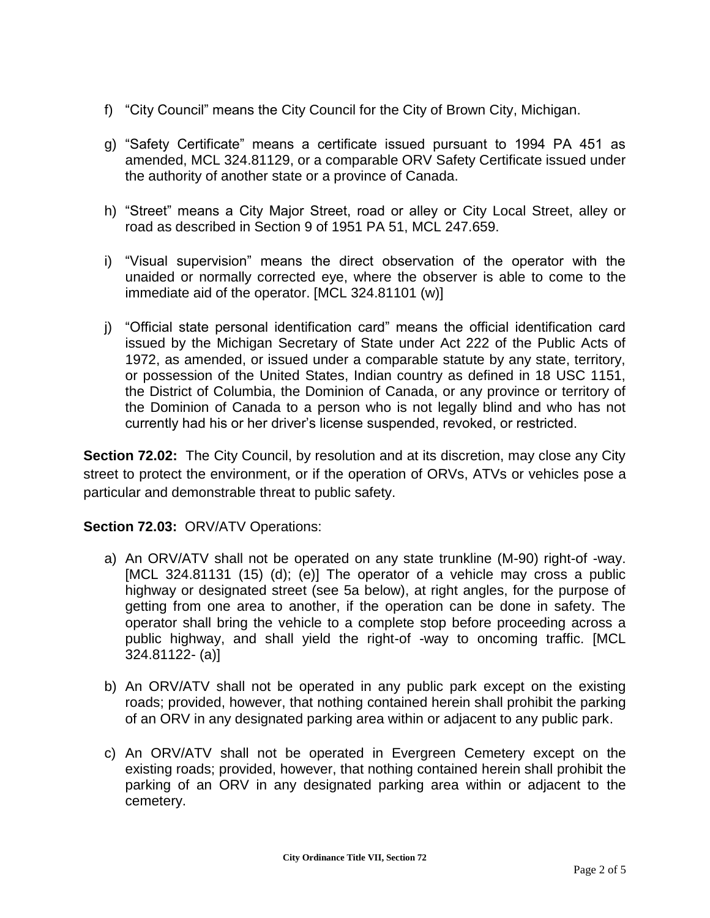- f) "City Council" means the City Council for the City of Brown City, Michigan.
- g) "Safety Certificate" means a certificate issued pursuant to 1994 PA 451 as amended, MCL 324.81129, or a comparable ORV Safety Certificate issued under the authority of another state or a province of Canada.
- h) "Street" means a City Major Street, road or alley or City Local Street, alley or road as described in Section 9 of 1951 PA 51, MCL 247.659.
- i) "Visual supervision" means the direct observation of the operator with the unaided or normally corrected eye, where the observer is able to come to the immediate aid of the operator. [MCL 324.81101 (w)]
- j) "Official state personal identification card" means the official identification card issued by the Michigan Secretary of State under Act 222 of the Public Acts of 1972, as amended, or issued under a comparable statute by any state, territory, or possession of the United States, Indian country as defined in 18 USC 1151, the District of Columbia, the Dominion of Canada, or any province or territory of the Dominion of Canada to a person who is not legally blind and who has not currently had his or her driver's license suspended, revoked, or restricted.

**Section 72.02:** The City Council, by resolution and at its discretion, may close any City street to protect the environment, or if the operation of ORVs, ATVs or vehicles pose a particular and demonstrable threat to public safety.

## **Section 72.03:** ORV/ATV Operations:

- a) An ORV/ATV shall not be operated on any state trunkline (M-90) right-of -way. [MCL 324.81131 (15) (d); (e)] The operator of a vehicle may cross a public highway or designated street (see 5a below), at right angles, for the purpose of getting from one area to another, if the operation can be done in safety. The operator shall bring the vehicle to a complete stop before proceeding across a public highway, and shall yield the right-of -way to oncoming traffic. [MCL 324.81122- (a)]
- b) An ORV/ATV shall not be operated in any public park except on the existing roads; provided, however, that nothing contained herein shall prohibit the parking of an ORV in any designated parking area within or adjacent to any public park.
- c) An ORV/ATV shall not be operated in Evergreen Cemetery except on the existing roads; provided, however, that nothing contained herein shall prohibit the parking of an ORV in any designated parking area within or adjacent to the cemetery.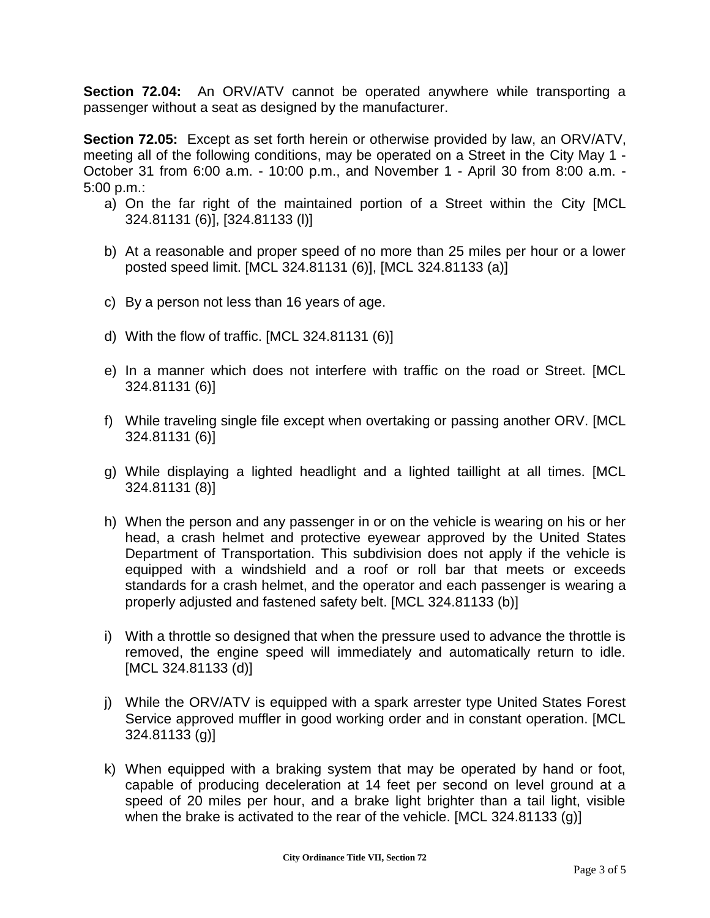**Section 72.04:** An ORV/ATV cannot be operated anywhere while transporting a passenger without a seat as designed by the manufacturer.

**Section 72.05:** Except as set forth herein or otherwise provided by law, an ORV/ATV, meeting all of the following conditions, may be operated on a Street in the City May 1 - October 31 from 6:00 a.m. - 10:00 p.m., and November 1 - April 30 from 8:00 a.m. - 5:00 p.m.:

- a) On the far right of the maintained portion of a Street within the City [MCL 324.81131 (6)], [324.81133 (l)]
- b) At a reasonable and proper speed of no more than 25 miles per hour or a lower posted speed limit. [MCL 324.81131 (6)], [MCL 324.81133 (a)]
- c) By a person not less than 16 years of age.
- d) With the flow of traffic. [MCL 324.81131 (6)]
- e) In a manner which does not interfere with traffic on the road or Street. [MCL 324.81131 (6)]
- f) While traveling single file except when overtaking or passing another ORV. [MCL 324.81131 (6)]
- g) While displaying a lighted headlight and a lighted taillight at all times. [MCL 324.81131 (8)]
- h) When the person and any passenger in or on the vehicle is wearing on his or her head, a crash helmet and protective eyewear approved by the United States Department of Transportation. This subdivision does not apply if the vehicle is equipped with a windshield and a roof or roll bar that meets or exceeds standards for a crash helmet, and the operator and each passenger is wearing a properly adjusted and fastened safety belt. [MCL 324.81133 (b)]
- i) With a throttle so designed that when the pressure used to advance the throttle is removed, the engine speed will immediately and automatically return to idle. [MCL 324.81133 (d)]
- j) While the ORV/ATV is equipped with a spark arrester type United States Forest Service approved muffler in good working order and in constant operation. [MCL 324.81133 (g)]
- k) When equipped with a braking system that may be operated by hand or foot, capable of producing deceleration at 14 feet per second on level ground at a speed of 20 miles per hour, and a brake light brighter than a tail light, visible when the brake is activated to the rear of the vehicle. [MCL 324.81133 (g)]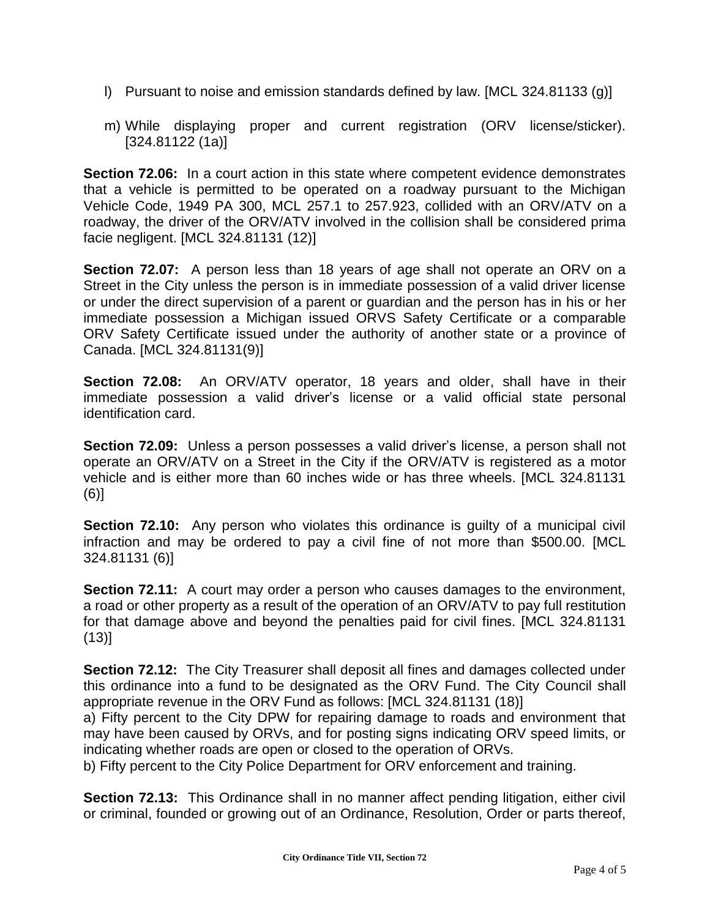- l) Pursuant to noise and emission standards defined by law. [MCL 324.81133 (g)]
- m) While displaying proper and current registration (ORV license/sticker). [324.81122 (1a)]

**Section 72.06:** In a court action in this state where competent evidence demonstrates that a vehicle is permitted to be operated on a roadway pursuant to the Michigan Vehicle Code, 1949 PA 300, MCL 257.1 to 257.923, collided with an ORV/ATV on a roadway, the driver of the ORV/ATV involved in the collision shall be considered prima facie negligent. [MCL 324.81131 (12)]

**Section 72.07:** A person less than 18 years of age shall not operate an ORV on a Street in the City unless the person is in immediate possession of a valid driver license or under the direct supervision of a parent or guardian and the person has in his or her immediate possession a Michigan issued ORVS Safety Certificate or a comparable ORV Safety Certificate issued under the authority of another state or a province of Canada. [MCL 324.81131(9)]

**Section 72.08:** An ORV/ATV operator, 18 years and older, shall have in their immediate possession a valid driver's license or a valid official state personal identification card.

**Section 72.09:** Unless a person possesses a valid driver's license, a person shall not operate an ORV/ATV on a Street in the City if the ORV/ATV is registered as a motor vehicle and is either more than 60 inches wide or has three wheels. [MCL 324.81131 (6)]

**Section 72.10:** Any person who violates this ordinance is guilty of a municipal civil infraction and may be ordered to pay a civil fine of not more than \$500.00. [MCL 324.81131 (6)]

**Section 72.11:** A court may order a person who causes damages to the environment, a road or other property as a result of the operation of an ORV/ATV to pay full restitution for that damage above and beyond the penalties paid for civil fines. [MCL 324.81131  $(13)$ ]

**Section 72.12:** The City Treasurer shall deposit all fines and damages collected under this ordinance into a fund to be designated as the ORV Fund. The City Council shall appropriate revenue in the ORV Fund as follows: [MCL 324.81131 (18)]

a) Fifty percent to the City DPW for repairing damage to roads and environment that may have been caused by ORVs, and for posting signs indicating ORV speed limits, or indicating whether roads are open or closed to the operation of ORVs.

b) Fifty percent to the City Police Department for ORV enforcement and training.

**Section 72.13:** This Ordinance shall in no manner affect pending litigation, either civil or criminal, founded or growing out of an Ordinance, Resolution, Order or parts thereof,